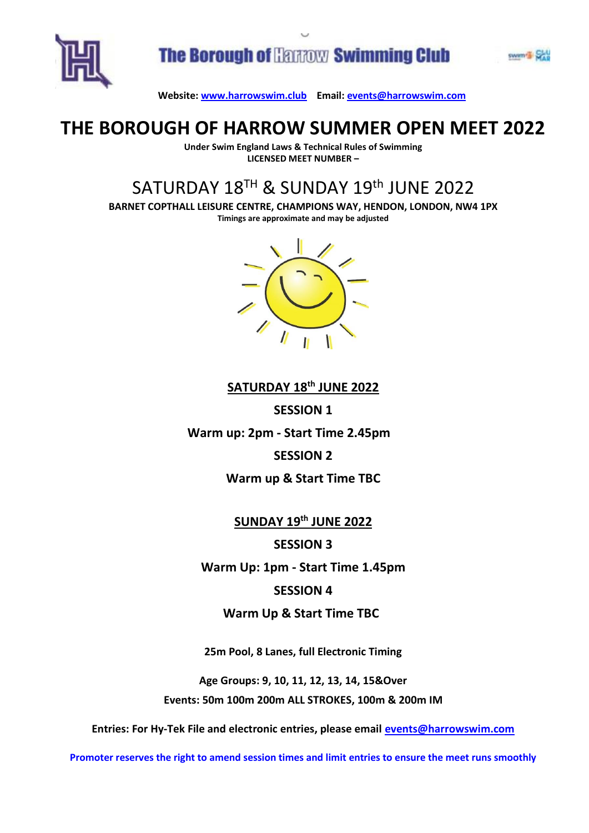

### **THE BOROUGH OF HARROW SUMMER OPEN MEET 2022**

**Under Swim England Laws & Technical Rules of Swimming LICENSED MEET NUMBER –**

# SATURDAY 18<sup>TH</sup> & SUNDAY 19<sup>th</sup> JUNE 2022

**BARNET COPTHALL LEISURE CENTRE, CHAMPIONS WAY, HENDON, LONDON, NW4 1PX Timings are approximate and may be adjusted**



#### **SATURDAY 18 th JUNE 2022**

**SESSION 1**

**Warm up: 2pm - Start Time 2.45pm** 

#### **SESSION 2**

#### **Warm up & Start Time TBC**

**SUNDAY 19 th JUNE 2022**

**SESSION 3**

**Warm Up: 1pm - Start Time 1.45pm**

#### **SESSION 4**

#### **Warm Up & Start Time TBC**

**25m Pool, 8 Lanes, full Electronic Timing**

**Age Groups: 9, 10, 11, 12, 13, 14, 15&Over Events: 50m 100m 200m ALL STROKES, 100m & 200m IM**

**Entries: For Hy-Tek File and electronic entries, please email [events@harrowswim.com](mailto:events@harrowswim.com)**

**Promoter reserves the right to amend session times and limit entries to ensure the meet runs smoothly**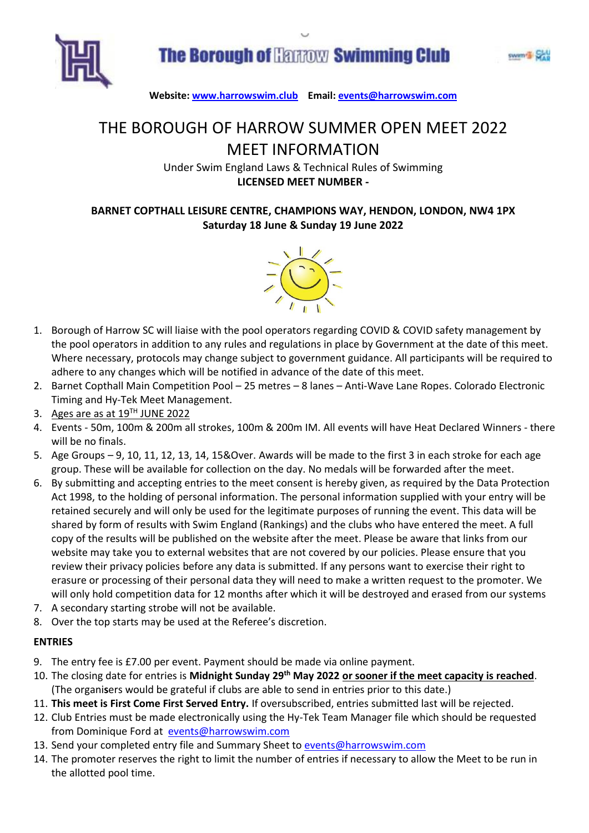



## THE BOROUGH OF HARROW SUMMER OPEN MEET 2022 MEET INFORMATION

Under Swim England Laws & Technical Rules of Swimming **LICENSED MEET NUMBER -**

#### **BARNET COPTHALL LEISURE CENTRE, CHAMPIONS WAY, HENDON, LONDON, NW4 1PX Saturday 18 June & Sunday 19 June 2022**



- 1. Borough of Harrow SC will liaise with the pool operators regarding COVID & COVID safety management by the pool operators in addition to any rules and regulations in place by Government at the date of this meet. Where necessary, protocols may change subject to government guidance. All participants will be required to adhere to any changes which will be notified in advance of the date of this meet.
- 2. Barnet Copthall Main Competition Pool 25 metres 8 lanes Anti-Wave Lane Ropes. Colorado Electronic Timing and Hy-Tek Meet Management.
- 3. Ages are as at 19<sup>TH</sup> JUNE 2022
- 4. Events 50m, 100m & 200m all strokes, 100m & 200m IM. All events will have Heat Declared Winners there will be no finals.
- 5. Age Groups 9, 10, 11, 12, 13, 14, 15&Over. Awards will be made to the first 3 in each stroke for each age group. These will be available for collection on the day. No medals will be forwarded after the meet.
- 6. By submitting and accepting entries to the meet consent is hereby given, as required by the Data Protection Act 1998, to the holding of personal information. The personal information supplied with your entry will be retained securely and will only be used for the legitimate purposes of running the event. This data will be shared by form of results with Swim England (Rankings) and the clubs who have entered the meet. A full copy of the results will be published on the website after the meet. Please be aware that links from our website may take you to external websites that are not covered by our policies. Please ensure that you review their privacy policies before any data is submitted. If any persons want to exercise their right to erasure or processing of their personal data they will need to make a written request to the promoter. We will only hold competition data for 12 months after which it will be destroyed and erased from our systems
- 7. A secondary starting strobe will not be available.
- 8. Over the top starts may be used at the Referee's discretion.

#### **ENTRIES**

- 9. The entry fee is £7.00 per event. Payment should be made via online payment.
- 10. The closing date for entries is **Midnight Sunday 29 th May 2022 or sooner if the meet capacity is reached**. (The organi**s**ers would be grateful if clubs are able to send in entries prior to this date.)
- 11. **This meet is First Come First Served Entry.** If oversubscribed, entries submitted last will be rejected.
- 12. Club Entries must be made electronically using the Hy-Tek Team Manager file which should be requested from Dominique Ford at [events@harrowswim.com](mailto:events@harrowswim.com)
- 13. Send your completed entry file and Summary Sheet to [events@harrowswim.com](mailto:events@harrowswim.com)
- 14. The promoter reserves the right to limit the number of entries if necessary to allow the Meet to be run in the allotted pool time.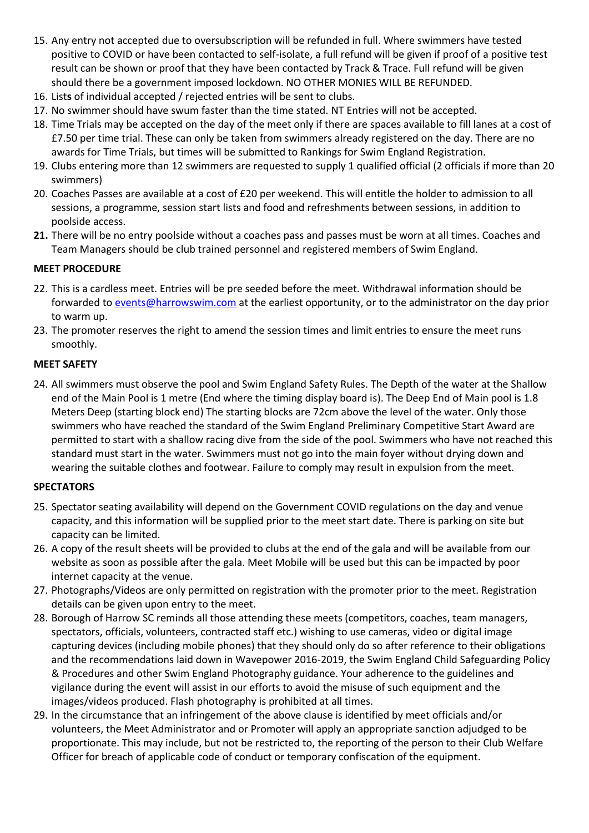- 15. Any entry not accepted due to oversubscription will be refunded in full. Where swimmers have tested positive to COVID or have been contacted to self-isolate, a full refund will be given if proof of a positive test result can be shown or proof that they have been contacted by Track & Trace. Full refund will be given should there be a government imposed lockdown. NO OTHER MONIES WILL BE REFUNDED.
- 16. List**s** of individual accepted / rejected entries will be sent to clubs.
- 17. No swimmer should have swum faster than the time stated. NT Entries will not be accepted.
- 18. Time Trials may be accepted on the day of the meet only if there are spaces available to fill lanes at a cost of £7.50 per time trial. These can only be taken from swimmers already registered on the day. There are no awards for Time Trials, but times will be submitted to Rankings for Swim England Registration.
- 19. Clubs entering more than 12 swimmers are requested to supply 1 qualified official (2 officials if more than 20 swimmers)
- 20. Coaches Passes are available at a cost of £20 per weekend. This will entitle the holder to admission to all sessions, a programme, session start lists and food and refreshments between sessions, in addition to poolside access.
- **21.** There will be no entry poolside without a coaches pass and passes must be worn at all times. Coaches and Team Managers should be club trained personnel and registered members of Swim England.

#### **MEET PROCEDURE**

- 22. This is a cardless meet. Entries will be pre seeded before the meet. Withdrawal information should be forwarded to [events@harrowswim.com](mailto:events@harrowswim.com) at the earliest opportunity, or to the administrator on the day prior to warm up.
- 23. The promoter reserves the right to amend the session times and limit entries to ensure the meet runs smoothly.

#### **MEET SAFETY**

24. All swimmers must observe the pool and Swim England Safety Rules. The Depth of the water at the Shallow end of the Main Pool is 1 metre (End where the timing display board is). The Deep End of Main pool is 1.8 Meters Deep (starting block end) The starting blocks are 72cm above the level of the water. Only those swimmers who have reached the standard of the Swim England Preliminary Competitive Start Award are permitted to start with a shallow racing dive from the side of the pool. Swimmers who have not reached this standard must start in the water. Swimmers must not go into the main foyer without drying down and wearing the suitable clothes and footwear. Failure to comply may result in expulsion from the meet.

#### **SPECTATORS**

- 25. Spectator seating availability will depend on the Government COVID regulations on the day and venue capacity, and this information will be supplied prior to the meet start date. There is parking on site but capacity can be limited.
- 26. A copy of the result sheets will be provided to clubs at the end of the gala and will be available from our website as soon as possible after the gala. Meet Mobile will be used but this can be impacted by poor internet capacity at the venue.
- 27. Photographs/Videos are only permitted on registration with the promoter prior to the meet. Registration details can be given upon entry to the meet.
- 28. Borough of Harrow SC reminds all those attending these meets (competitors, coaches, team managers, spectators, officials, volunteers, contracted staff etc.) wishing to use cameras, video or digital image capturing devices (including mobile phones) that they should only do so after reference to their obligations and the recommendations laid down in Wavepower 2016-2019, the Swim England Child Safeguarding Policy & Procedures and other Swim England Photography guidance. Your adherence to the guidelines and vigilance during the event will assist in our efforts to avoid the misuse of such equipment and the images/videos produced. Flash photography is prohibited at all times.
- 29. In the circumstance that an infringement of the above clause is identified by meet officials and/or volunteers, the Meet Administrator and or Promoter will apply an appropriate sanction adjudged to be proportionate. This may include, but not be restricted to, the reporting of the person to their Club Welfare Officer for breach of applicable code of conduct or temporary confiscation of the equipment.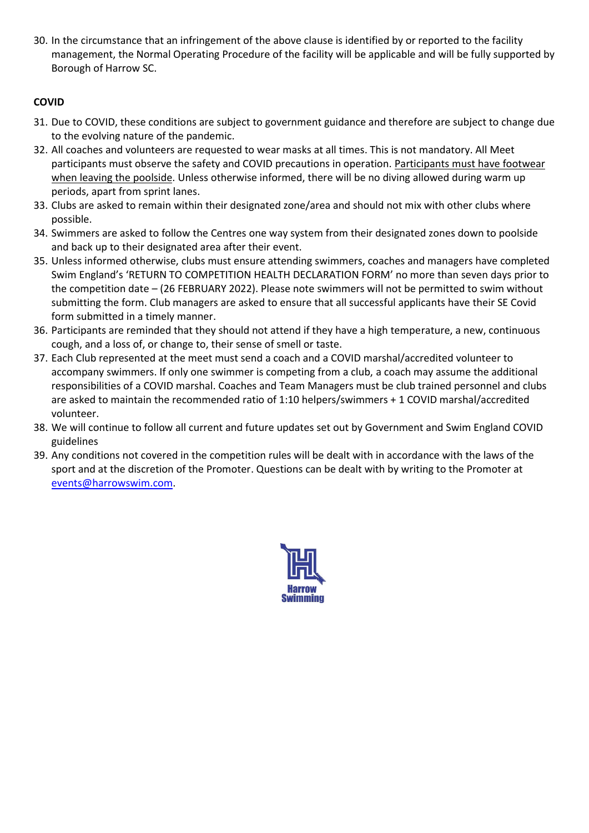30. In the circumstance that an infringement of the above clause is identified by or reported to the facility management, the Normal Operating Procedure of the facility will be applicable and will be fully supported by Borough of Harrow SC.

#### **COVID**

- 31. Due to COVID, these conditions are subject to government guidance and therefore are subject to change due to the evolving nature of the pandemic.
- 32. All coaches and volunteers are requested to wear masks at all times. This is not mandatory. All Meet participants must observe the safety and COVID precautions in operation. Participants must have footwear when leaving the poolside. Unless otherwise informed, there will be no diving allowed during warm up periods, apart from sprint lanes.
- 33. Clubs are asked to remain within their designated zone/area and should not mix with other clubs where possible.
- 34. Swimmers are asked to follow the Centres one way system from their designated zones down to poolside and back up to their designated area after their event.
- 35. Unless informed otherwise, clubs must ensure attending swimmers, coaches and managers have completed Swim England's 'RETURN TO COMPETITION HEALTH DECLARATION FORM' no more than seven days prior to the competition date – (26 FEBRUARY 2022). Please note swimmers will not be permitted to swim without submitting the form. Club managers are asked to ensure that all successful applicants have their SE Covid form submitted in a timely manner.
- 36. Participants are reminded that they should not attend if they have a high temperature, a new, continuous cough, and a loss of, or change to, their sense of smell or taste.
- 37. Each Club represented at the meet must send a coach and a COVID marshal/accredited volunteer to accompany swimmers. If only one swimmer is competing from a club, a coach may assume the additional responsibilities of a COVID marshal. Coaches and Team Managers must be club trained personnel and clubs are asked to maintain the recommended ratio of 1:10 helpers/swimmers + 1 COVID marshal/accredited volunteer.
- 38. We will continue to follow all current and future updates set out by Government and Swim England COVID guidelines
- 39. Any conditions not covered in the competition rules will be dealt with in accordance with the laws of the sport and at the discretion of the Promoter. Questions can be dealt with by writing to the Promoter at [events@harrowswim.com.](mailto:events@harrowswim.com)

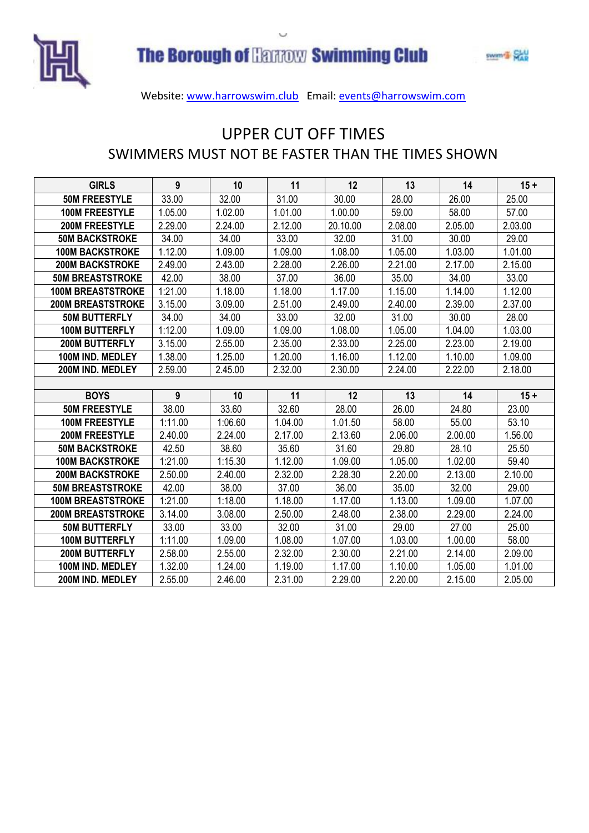



### UPPER CUT OFF TIMES SWIMMERS MUST NOT BE FASTER THAN THE TIMES SHOWN

| <b>GIRLS</b>             | 9       | 10      | 11      | 12       | 13      | 14      | $15 +$  |
|--------------------------|---------|---------|---------|----------|---------|---------|---------|
| <b>50M FREESTYLE</b>     | 33.00   | 32.00   | 31.00   | 30.00    | 28.00   | 26.00   | 25.00   |
| <b>100M FREESTYLE</b>    | 1.05.00 | 1.02.00 | 1.01.00 | 1.00.00  | 59.00   | 58.00   | 57.00   |
| <b>200M FREESTYLE</b>    | 2.29.00 | 2.24.00 | 2.12.00 | 20.10.00 | 2.08.00 | 2.05.00 | 2.03.00 |
| <b>50M BACKSTROKE</b>    | 34.00   | 34.00   | 33.00   | 32.00    | 31.00   | 30.00   | 29.00   |
| <b>100M BACKSTROKE</b>   | 1.12.00 | 1.09.00 | 1.09.00 | 1.08.00  | 1.05.00 | 1.03.00 | 1.01.00 |
| <b>200M BACKSTROKE</b>   | 2.49.00 | 2.43.00 | 2.28.00 | 2.26.00  | 2.21.00 | 2.17.00 | 2.15.00 |
| <b>50M BREASTSTROKE</b>  | 42.00   | 38.00   | 37.00   | 36.00    | 35.00   | 34.00   | 33.00   |
| <b>100M BREASTSTROKE</b> | 1:21.00 | 1.18.00 | 1.18.00 | 1.17.00  | 1.15.00 | 1.14.00 | 1.12.00 |
| <b>200M BREASTSTROKE</b> | 3.15.00 | 3.09.00 | 2.51.00 | 2.49.00  | 2.40.00 | 2.39.00 | 2.37.00 |
| <b>50M BUTTERFLY</b>     | 34.00   | 34.00   | 33.00   | 32.00    | 31.00   | 30.00   | 28.00   |
| <b>100M BUTTERFLY</b>    | 1:12.00 | 1.09.00 | 1.09.00 | 1.08.00  | 1.05.00 | 1.04.00 | 1.03.00 |
| <b>200M BUTTERFLY</b>    | 3.15.00 | 2.55.00 | 2.35.00 | 2.33.00  | 2.25.00 | 2.23.00 | 2.19.00 |
| 100M IND. MEDLEY         | 1.38.00 | 1.25.00 | 1.20.00 | 1.16.00  | 1.12.00 | 1.10.00 | 1.09.00 |
| 200M IND. MEDLEY         | 2.59.00 | 2.45.00 | 2.32.00 | 2.30.00  | 2.24.00 | 2.22.00 | 2.18.00 |
|                          |         |         |         |          |         |         |         |
| <b>BOYS</b>              | 9       | 10      | 11      | 12       | 13      | 14      | $15 +$  |
| <b>50M FREESTYLE</b>     | 38.00   | 33.60   | 32.60   | 28.00    | 26.00   | 24.80   | 23.00   |
| <b>100M FREESTYLE</b>    | 1:11.00 | 1:06.60 | 1.04.00 | 1.01.50  | 58.00   | 55.00   | 53.10   |
| <b>200M FREESTYLE</b>    | 2.40.00 | 2.24.00 | 2.17.00 | 2.13.60  | 2.06.00 | 2.00.00 | 1.56.00 |
| <b>50M BACKSTROKE</b>    | 42.50   | 38.60   | 35.60   | 31.60    | 29.80   | 28.10   | 25.50   |
| <b>100M BACKSTROKE</b>   | 1:21.00 | 1:15.30 | 1.12.00 | 1.09.00  | 1.05.00 | 1.02.00 | 59.40   |
| <b>200M BACKSTROKE</b>   | 2.50.00 | 2.40.00 | 2.32.00 | 2.28.30  | 2.20.00 | 2.13.00 | 2.10.00 |
| <b>50M BREASTSTROKE</b>  | 42.00   | 38.00   | 37.00   | 36.00    | 35.00   | 32.00   | 29.00   |
| <b>100M BREASTSTROKE</b> | 1:21.00 | 1:18.00 | 1.18.00 | 1.17.00  | 1.13.00 | 1.09.00 | 1.07.00 |
| <b>200M BREASTSTROKE</b> | 3.14.00 | 3.08.00 | 2.50.00 | 2.48.00  | 2.38.00 | 2.29.00 | 2.24.00 |
| <b>50M BUTTERFLY</b>     | 33.00   | 33.00   | 32.00   | 31.00    | 29.00   | 27.00   | 25.00   |
| <b>100M BUTTERFLY</b>    | 1:11.00 | 1.09.00 | 1.08.00 | 1.07.00  | 1.03.00 | 1.00.00 | 58.00   |
| <b>200M BUTTERFLY</b>    | 2.58.00 | 2.55.00 | 2.32.00 | 2.30.00  | 2.21.00 | 2.14.00 | 2.09.00 |
| 100M IND. MEDLEY         | 1.32.00 | 1.24.00 | 1.19.00 | 1.17.00  | 1.10.00 | 1.05.00 | 1.01.00 |
| 200M IND. MEDLEY         | 2.55.00 | 2.46.00 | 2.31.00 | 2.29.00  | 2.20.00 | 2.15.00 | 2.05.00 |